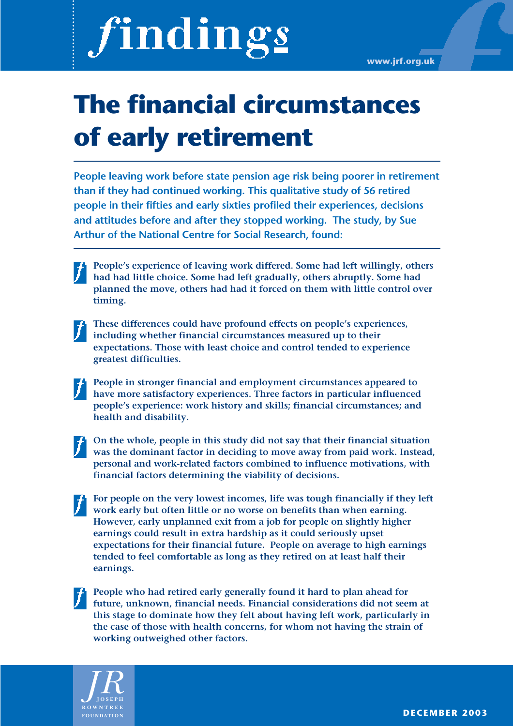# findings

**www.jrf.org.uk**

## **The financial circumstances of early retirement**

**People leaving work before state pension age risk being poorer in retirement than if they had continued working. This qualitative study of 56 retired people in their fifties and early sixties profiled their experiences, decisions and attitudes before and after they stopped working. The study, by Sue Arthur of the National Centre for Social Research, found:** 

**People's experience of leaving work differed. Some had left willingly, others had had little choice. Some had left gradually, others abruptly. Some had planned the move, others had had it forced on them with little control over timing.** 

**These differences could have profound effects on people's experiences, including whether financial circumstances measured up to their expectations. Those with least choice and control tended to experience greatest difficulties.**

**People in stronger financial and employment circumstances appeared to have more satisfactory experiences. Three factors in particular influenced people's experience: work history and skills; financial circumstances; and health and disability.**

**On the whole, people in this study did not say that their financial situation was the dominant factor in deciding to move away from paid work. Instead, personal and work-related factors combined to influence motivations, with financial factors determining the viability of decisions.**

**For people on the very lowest incomes, life was tough financially if they left work early but often little or no worse on benefits than when earning. However, early unplanned exit from a job for people on slightly higher earnings could result in extra hardship as it could seriously upset expectations for their financial future. People on average to high earnings tended to feel comfortable as long as they retired on at least half their earnings.**

**People who had retired early generally found it hard to plan ahead for future, unknown, financial needs. Financial considerations did not seem at this stage to dominate how they felt about having left work, particularly in the case of those with health concerns, for whom not having the strain of working outweighed other factors.**

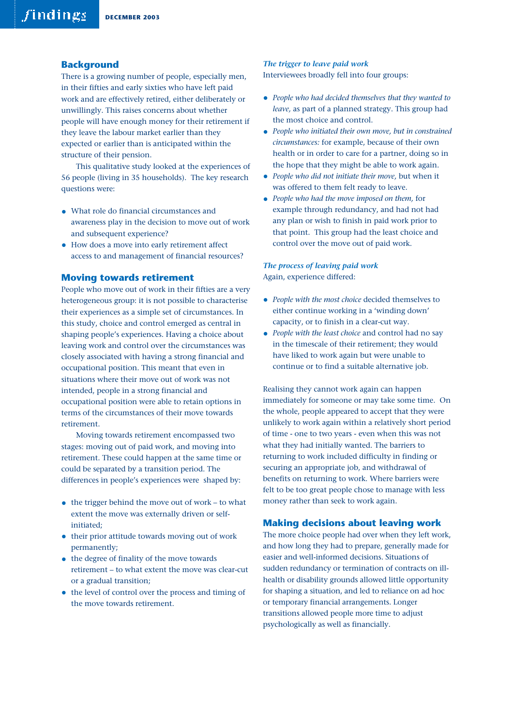#### **Background**

There is a growing number of people, especially men, in their fifties and early sixties who have left paid work and are effectively retired, either deliberately or unwillingly. This raises concerns about whether people will have enough money for their retirement if they leave the labour market earlier than they expected or earlier than is anticipated within the structure of their pension.

This qualitative study looked at the experiences of 56 people (living in 35 households). The key research questions were:

- What role do financial circumstances and awareness play in the decision to move out of work and subsequent experience?
- How does a move into early retirement affect access to and management of financial resources?

#### **Moving towards retirement**

People who move out of work in their fifties are a very heterogeneous group: it is not possible to characterise their experiences as a simple set of circumstances. In this study, choice and control emerged as central in shaping people's experiences. Having a choice about leaving work and control over the circumstances was closely associated with having a strong financial and occupational position. This meant that even in situations where their move out of work was not intended, people in a strong financial and occupational position were able to retain options in terms of the circumstances of their move towards retirement.

Moving towards retirement encompassed two stages: moving out of paid work, and moving into retirement. These could happen at the same time or could be separated by a transition period. The differences in people's experiences were shaped by:

- $\bullet$  the trigger behind the move out of work to what extent the move was externally driven or selfinitiated;
- their prior attitude towards moving out of work permanently;
- the degree of finality of the move towards retirement – to what extent the move was clear-cut or a gradual transition;
- the level of control over the process and timing of the move towards retirement.

#### *The trigger to leave paid work*

Interviewees broadly fell into four groups:

- *People who had decided themselves that they wanted to leave,* as part of a planned strategy. This group had the most choice and control.
- *People who initiated their own move, but in constrained circumstances:* for example, because of their own health or in order to care for a partner, doing so in the hope that they might be able to work again.
- *People who did not initiate their move,* but when it was offered to them felt ready to leave.
- *People who had the move imposed on them,* for example through redundancy, and had not had any plan or wish to finish in paid work prior to that point. This group had the least choice and control over the move out of paid work.

#### *The process of leaving paid work* Again, experience differed:

- *People with the most choice* decided themselves to either continue working in a 'winding down' capacity, or to finish in a clear-cut way.
- *People with the least choice* and control had no say in the timescale of their retirement; they would have liked to work again but were unable to continue or to find a suitable alternative job.

Realising they cannot work again can happen immediately for someone or may take some time. On the whole, people appeared to accept that they were unlikely to work again within a relatively short period of time - one to two years - even when this was not what they had initially wanted. The barriers to returning to work included difficulty in finding or securing an appropriate job, and withdrawal of benefits on returning to work. Where barriers were felt to be too great people chose to manage with less money rather than seek to work again.

#### **Making decisions about leaving work**

The more choice people had over when they left work, and how long they had to prepare, generally made for easier and well-informed decisions. Situations of sudden redundancy or termination of contracts on illhealth or disability grounds allowed little opportunity for shaping a situation, and led to reliance on ad hoc or temporary financial arrangements. Longer transitions allowed people more time to adjust psychologically as well as financially.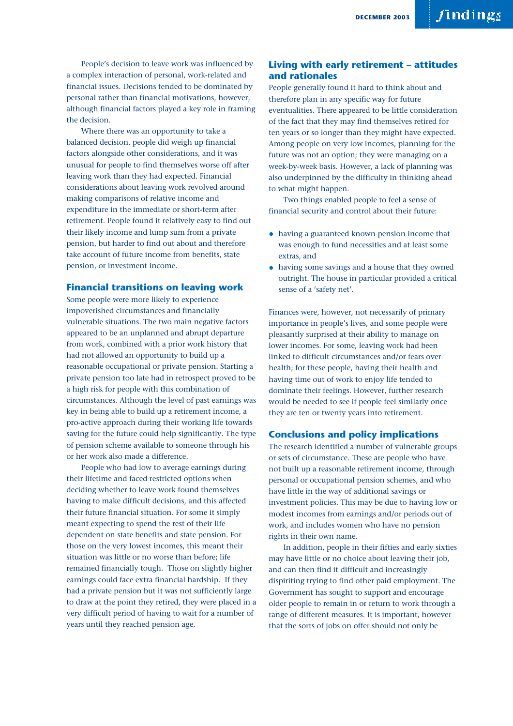People's decision to leave work was influenced by a complex interaction of personal, work-related and financial issues. Decisions tended to be dominated by personal rather than financial motivations, however, although financial factors played a key role in framing the decision.

Where there was an opportunity to take a balanced decision, people did weigh up financial factors alongside other considerations, and it was unusual for people to find themselves worse off after leaving work than they had expected. Financial considerations about leaving work revolved around making comparisons of relative income and expenditure in the immediate or short-term after retirement. People found it relatively easy to find out their likely income and lump sum from a private pension, but harder to find out about and therefore take account of future income from benefits, state pension, or investment income.

#### **Financial transitions on leaving work**

Some people were more likely to experience impoverished circumstances and financially vulnerable situations. The two main negative factors appeared to be an unplanned and abrupt departure from work, combined with a prior work history that had not allowed an opportunity to build up a reasonable occupational or private pension. Starting a private pension too late had in retrospect proved to be a high risk for people with this combination of circumstances. Although the level of past earnings was key in being able to build up a retirement income, a pro-active approach during their working life towards saving for the future could help significantly. The type of pension scheme available to someone through his or her work also made a difference.

People who had low to average earnings during their lifetime and faced restricted options when deciding whether to leave work found themselves having to make difficult decisions, and this affected their future financial situation. For some it simply meant expecting to spend the rest of their life dependent on state benefits and state pension. For those on the very lowest incomes, this meant their situation was little or no worse than before; life remained financially tough. Those on slightly higher earnings could face extra financial hardship. If they had a private pension but it was not sufficiently large to draw at the point they retired, they were placed in a very difficult period of having to wait for a number of years until they reached pension age.

#### **Living with early retirement – attitudes and rationales**

People generally found it hard to think about and therefore plan in any specific way for future eventualities. There appeared to be little consideration of the fact that they may find themselves retired for ten years or so longer than they might have expected. Among people on very low incomes, planning for the future was not an option; they were managing on a week-by-week basis. However, a lack of planning was also underpinned by the difficulty in thinking ahead to what might happen.

Two things enabled people to feel a sense of financial security and control about their future:

- having a guaranteed known pension income that was enough to fund necessities and at least some extras, and
- having some savings and a house that they owned outright. The house in particular provided a critical sense of a 'safety net'.

Finances were, however, not necessarily of primary importance in people's lives, and some people were pleasantly surprised at their ability to manage on lower incomes. For some, leaving work had been linked to difficult circumstances and/or fears over health; for these people, having their health and having time out of work to enjoy life tended to dominate their feelings. However, further research would be needed to see if people feel similarly once they are ten or twenty years into retirement.

#### **Conclusions and policy implications**

The research identified a number of vulnerable groups or sets of circumstance. These are people who have not built up a reasonable retirement income, through personal or occupational pension schemes, and who have little in the way of additional savings or investment policies. This may be due to having low or modest incomes from earnings and/or periods out of work, and includes women who have no pension rights in their own name.

In addition, people in their fifties and early sixties may have little or no choice about leaving their job, and can then find it difficult and increasingly dispiriting trying to find other paid employment. The Government has sought to support and encourage older people to remain in or return to work through a range of different measures. It is important, however that the sorts of jobs on offer should not only be